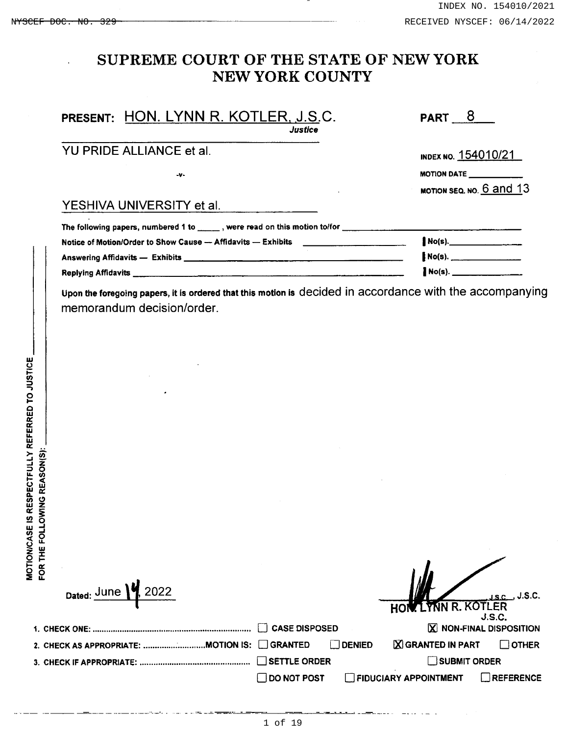# SUPREME COURT OF THE STATE OF NEW YORK NEW YORK COUNTY

| PRESENT: HON. LYNN R. KOTLER, J.S.C.<br>Justice                                                                                                                                                                                                                                   | <b>PART 8</b>            |  |  |  |  |
|-----------------------------------------------------------------------------------------------------------------------------------------------------------------------------------------------------------------------------------------------------------------------------------|--------------------------|--|--|--|--|
| YU PRIDE ALLIANCE et al.                                                                                                                                                                                                                                                          | INDEX NO. 154010/21      |  |  |  |  |
| $-9 -$                                                                                                                                                                                                                                                                            | <b>MOTION DATE</b>       |  |  |  |  |
|                                                                                                                                                                                                                                                                                   | MOTION SEQ. NO. 6 and 13 |  |  |  |  |
| YESHIVA UNIVERSITY et al.                                                                                                                                                                                                                                                         |                          |  |  |  |  |
| The following papers, numbered 1 to $\mu$ , were read on this motion to/for $\mu$ , $\mu$ , $\mu$ , $\mu$ , $\mu$ , $\mu$ , $\mu$ , $\mu$ , $\mu$ , $\mu$ , $\mu$ , $\mu$ , $\mu$ , $\mu$ , $\mu$ , $\mu$ , $\mu$ , $\mu$ , $\mu$ , $\mu$ , $\mu$ , $\mu$ , $\mu$ , $\mu$ , $\mu$ |                          |  |  |  |  |
| Notice of Motion/Order to Show Cause — Affidavits — Exhibits <b>Show Cause 20</b> 12 12 12 13 14 15 16 17 17 18 18 19                                                                                                                                                             | $No(s)$ .                |  |  |  |  |
|                                                                                                                                                                                                                                                                                   | $NO(s)$ .                |  |  |  |  |
| <b>Replying Affidavits</b> 2008 2009 2009 2009 2009 2009 2009 2010 2021 2031 2040 2050 2061 2071 2081 2092 2009 2010 2011 2012 2013 2014 2015 2016 2017 2018 2019 2019 2010 2011 2012 2013 2014 2015 2016 2017 2017 2017 2017 2017                                                |                          |  |  |  |  |

Upon the foregoing papers, it is ordered that this motion is decided in accordance with the accompanying memorandum decision/order.

| q<br>F <sub>o</sub><br>THE<br>FOR <sup>-</sup> |                                             |                      |        |                       |                                          |
|------------------------------------------------|---------------------------------------------|----------------------|--------|-----------------------|------------------------------------------|
|                                                | Dated: $June \n\% 2022$                     |                      |        | HOW LYNN R. KOTLER    | J.S.C                                    |
|                                                | 1. CHECK ONE:                               | <b>CASE DISPOSED</b> |        |                       | <b>J.S.C.</b><br>X NON-FINAL DISPOSITION |
|                                                | 2. CHECK AS APPROPRIATE: MOTION IS: CRANTED |                      | DENIED | X GRANTED IN PART     | $\Box$ other                             |
|                                                |                                             | SETTLE ORDER         |        | SUBMIT ORDER          |                                          |
|                                                |                                             | $\Box$ DO NOT POST   |        | FIDUCIARY APPOINTMENT | REFERENCE                                |

<u>a a stru</u>nger and a structure of the structure of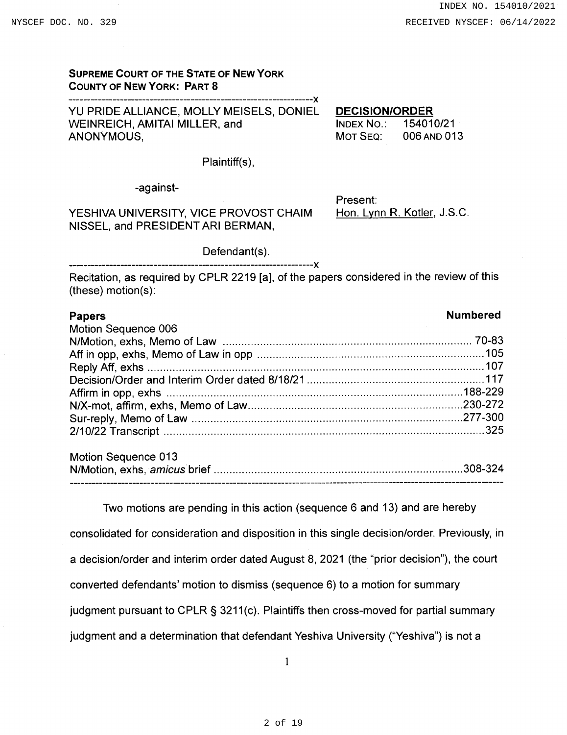# **SUPREME COURT OF THE STATE OF NEW YORK COUNTY OF NEW YORK: PART 8**

-----------Y YU PRIDE ALLIANCE, MOLLY MEISELS, DONIEL WEINREICH, AMITAI MILLER, and ANONYMOUS.

**DECISION/ORDER** 

INDEX NO.: 154010/21 MOT SEQ: 006 AND 013

Plaintiff(s).

-against-

YESHIVA UNIVERSITY, VICE PROVOST CHAIM NISSEL, and PRESIDENT ARI BERMAN,

Present: Hon. Lynn R. Kotler, J.S.C.

Defendant(s).

Recitation, as required by CPLR 2219 [a], of the papers considered in the review of this  $(these) motion(s):$ 

| <b>Papers</b>       | <b>Numbered</b> |
|---------------------|-----------------|
| Motion Sequence 006 |                 |
|                     |                 |
|                     |                 |
|                     |                 |
|                     |                 |
|                     |                 |
|                     |                 |
|                     |                 |
|                     |                 |
|                     |                 |
|                     |                 |

| Motion Sequence 013 |  |
|---------------------|--|
|                     |  |
|                     |  |

Two motions are pending in this action (sequence 6 and 13) and are hereby consolidated for consideration and disposition in this single decision/order. Previously, in a decision/order and interim order dated August 8, 2021 (the "prior decision"), the court converted defendants' motion to dismiss (sequence 6) to a motion for summary judgment pursuant to CPLR § 3211(c). Plaintiffs then cross-moved for partial summary judgment and a determination that defendant Yeshiva University ("Yeshiva") is not a

 $\mathbf{1}$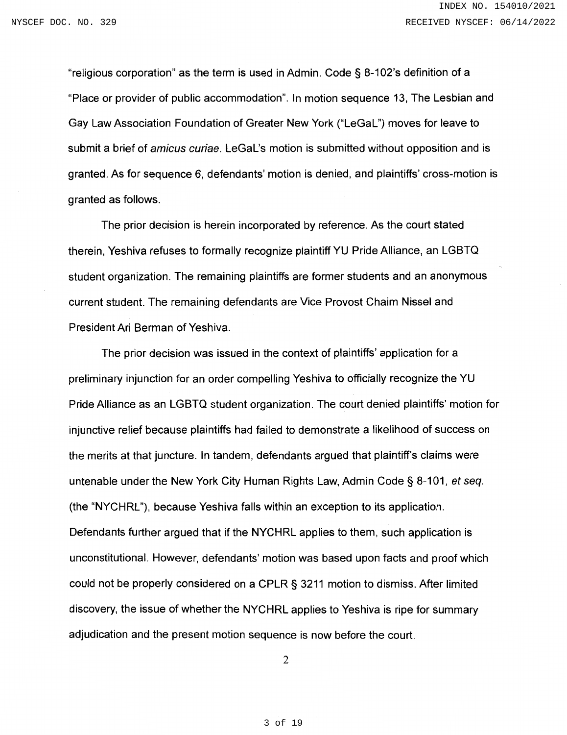"religious corporation" as the term is used in Admin. Code § 8-102's definition of a "Place or provider of public accommodation". In motion sequence 13, The Lesbian and Gay Law Association Foundation of Greater New York ("LeGaL") moves for leave to submit a brief of *amicus curiae*. LeGaL's motion is submitted without opposition and is granted. As for sequence 6, defendants' motion is denied, and plaintiffs' cross-motion is granted as follows.

The prior decision is herein incorporated by reference. As the court stated therein, Yeshiva refuses to formally recognize plaintiff YU Pride Alliance, an LGBTQ student organization. The remaining plaintiffs are former students and an anonymous current student. The remaining defendants are Vice Provost Chaim Nissel and President Ari Berman of Yeshiva.

The prior decision was issued in the context of plaintiffs' application for a preliminary injunction for an order compelling Yeshiva to officially recognize the YU Pride Alliance as an LGBTQ student organization. The court denied plaintiffs' motion for injunctive relief because plaintiffs had failed to demonstrate a likelihood of success on the merits at that juncture. In tandem, defendants argued that plaintiff's claims were untenable under the New York City Human Rights Law, Admin Code § 8-101, et seq. (the "NYCHRL"), because Yeshiva falls within an exception to its application. Defendants further argued that if the NYCHRL applies to them, such application is unconstitutional. However, defendants' motion was based upon facts and proof which could not be properly considered on a CPLR § 3211 motion to dismiss. After limited discovery, the issue of whether the NYCHRL applies to Yeshiva is ripe for summary adjudication and the present motion sequence is now before the court.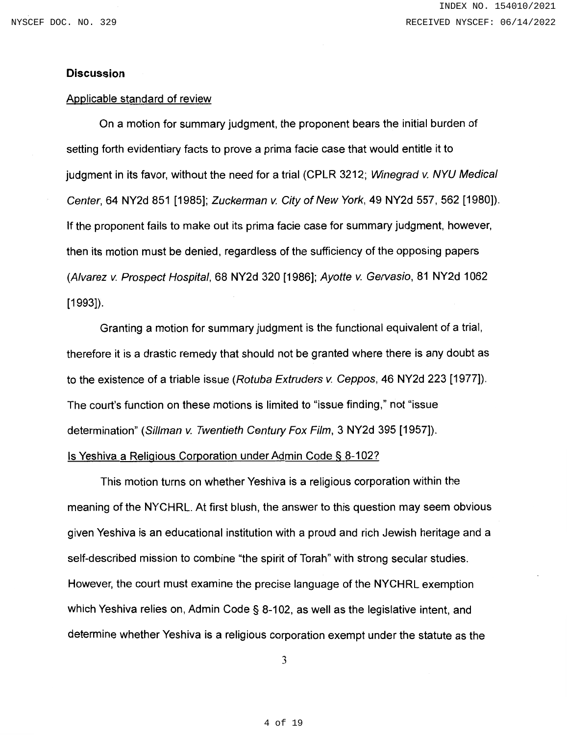### **Discussion**

#### Applicable standard of review

On a motion for summary judgment, the proponent bears the initial burden of setting forth evidentiary facts to prove a prima facie case that would entitle it to judgment in its favor, without the need for a trial (CPLR 3212; Winegrad v. NYU Medical Center, 64 NY2d 851 [1985]; Zuckerman v. City of New York, 49 NY2d 557, 562 [1980]). If the proponent fails to make out its prima facie case for summary judgment, however, then its motion must be denied, regardless of the sufficiency of the opposing papers (Alvarez v. Prospect Hospital, 68 NY2d 320 [1986]; Ayotte v. Gervasio, 81 NY2d 1062  $[1993]$ .

Granting a motion for summary judgment is the functional equivalent of a trial, therefore it is a drastic remedy that should not be granted where there is any doubt as to the existence of a triable issue (Rotuba Extruders v. Ceppos, 46 NY2d 223 [1977]). The court's function on these motions is limited to "issue finding," not "issue" determination" (Sillman v. Twentieth Century Fox Film, 3 NY2d 395 [1957]).

#### Is Yeshiva a Religious Corporation under Admin Code § 8-102?

This motion turns on whether Yeshiva is a religious corporation within the meaning of the NYCHRL. At first blush, the answer to this question may seem obvious given Yeshiva is an educational institution with a proud and rich Jewish heritage and a self-described mission to combine "the spirit of Torah" with strong secular studies. However, the court must examine the precise language of the NYCHRL exemption which Yeshiva relies on, Admin Code § 8-102, as well as the legislative intent, and determine whether Yeshiva is a religious corporation exempt under the statute as the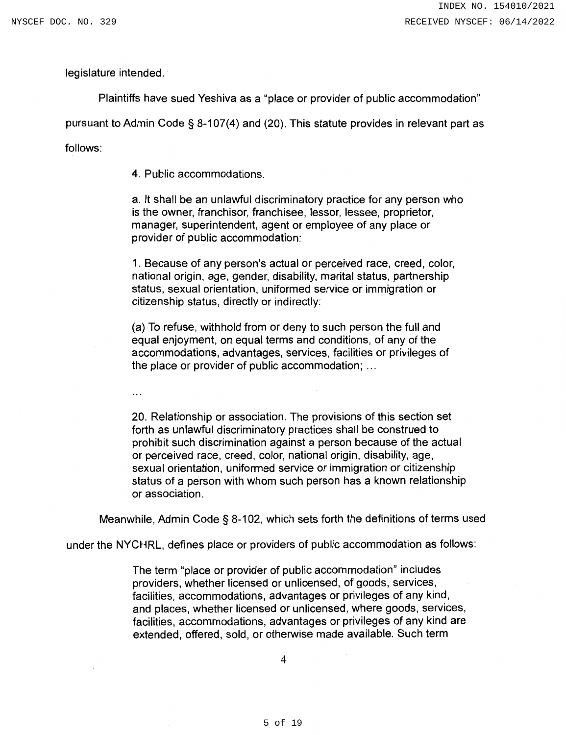legislature intended.

Plaintiffs have sued Yeshiva as a "place or provider of public accommodation"

pursuant to Admin Code § 8-107(4) and (20). This statute provides in relevant part as

follows:

4. Public accommodations.

a. It shall be an unlawful discriminatory practice for any person who is the owner, franchisor, franchisee, lessor, lessee, proprietor, manager, superintendent, agent or employee of any place or provider of public accommodation:

1. Because of any person's actual or perceived race, creed, color, national origin, age, gender, disability, marital status, partnership status, sexual orientation, uniformed service or immigration or citizenship status, directly or indirectly:

(a) To refuse, withhold from or deny to such person the full and equal enjoyment, on equal terms and conditions, of any of the accommodations, advantages, services, facilities or privileges of the place or provider of public accommodation; ...

 $\ldots$ 

20. Relationship or association. The provisions of this section set forth as unlawful discriminatory practices shall be construed to prohibit such discrimination against a person because of the actual or perceived race, creed, color, national origin, disability, age, sexual orientation, uniformed service or immigration or citizenship status of a person with whom such person has a known relationship or association.

Meanwhile, Admin Code § 8-102, which sets forth the definitions of terms used

under the NYCHRL, defines place or providers of public accommodation as follows:

The term "place or provider of public accommodation" includes providers, whether licensed or unlicensed, of goods, services, facilities, accommodations, advantages or privileges of any kind, and places, whether licensed or unlicensed, where goods, services, facilities, accommodations, advantages or privileges of any kind are extended, offered, sold, or otherwise made available. Such term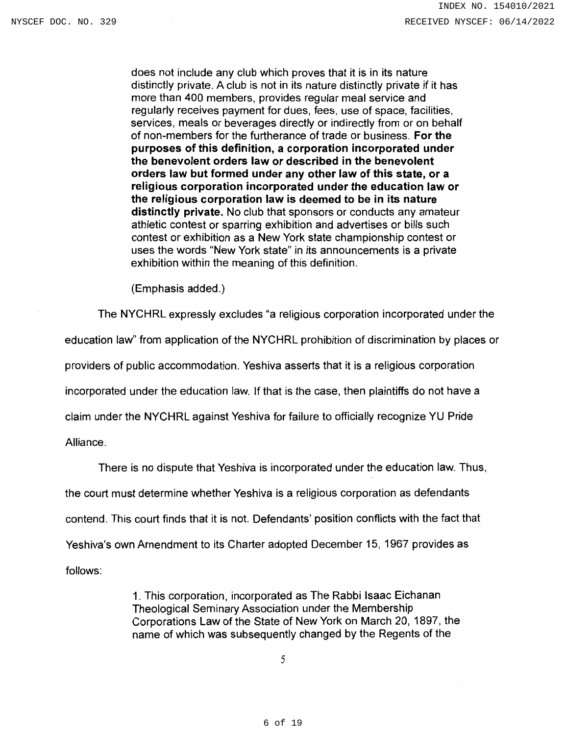does not include any club which proves that it is in its nature distinctly private. A club is not in its nature distinctly private if it has more than 400 members, provides regular meal service and regularly receives payment for dues, fees, use of space, facilities, services, meals or beverages directly or indirectly from or on behalf of non-members for the furtherance of trade or business. For the purposes of this definition, a corporation incorporated under the benevolent orders law or described in the benevolent orders law but formed under any other law of this state, or a religious corporation incorporated under the education law or the religious corporation law is deemed to be in its nature distinctly private. No club that sponsors or conducts any amateur athletic contest or sparring exhibition and advertises or bills such contest or exhibition as a New York state championship contest or uses the words "New York state" in its announcements is a private exhibition within the meaning of this definition.

(Emphasis added.)

The NYCHRL expressly excludes "a religious corporation incorporated under the education law" from application of the NYCHRL prohibition of discrimination by places or providers of public accommodation. Yeshiva asserts that it is a religious corporation incorporated under the education law. If that is the case, then plaintiffs do not have a claim under the NYCHRL against Yeshiva for failure to officially recognize YU Pride Alliance.

There is no dispute that Yeshiva is incorporated under the education law. Thus, the court must determine whether Yeshiva is a religious corporation as defendants contend. This court finds that it is not. Defendants' position conflicts with the fact that Yeshiva's own Amendment to its Charter adopted December 15, 1967 provides as follows:

> 1. This corporation, incorporated as The Rabbi Isaac Eichanan Theological Seminary Association under the Membership Corporations Law of the State of New York on March 20, 1897, the name of which was subsequently changed by the Regents of the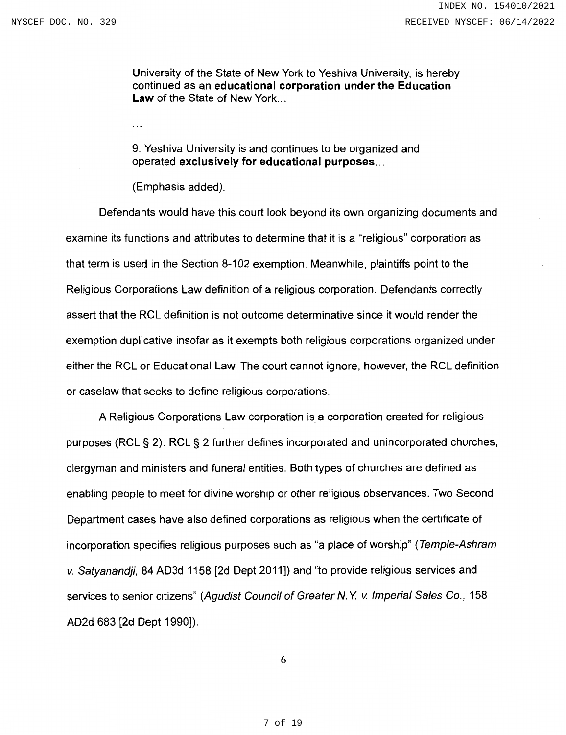University of the State of New York to Yeshiva University, is hereby continued as an educational corporation under the Education Law of the State of New York...

9. Yeshiva University is and continues to be organized and operated exclusively for educational purposes...

(Emphasis added).

 $\ddotsc$ 

Defendants would have this court look beyond its own organizing documents and examine its functions and attributes to determine that it is a "religious" corporation as that term is used in the Section 8-102 exemption. Meanwhile, plaintiffs point to the Religious Corporations Law definition of a religious corporation. Defendants correctly assert that the RCL definition is not outcome determinative since it would render the exemption duplicative insofar as it exempts both religious corporations organized under either the RCL or Educational Law. The court cannot ignore, however, the RCL definition or caselaw that seeks to define religious corporations.

A Religious Corporations Law corporation is a corporation created for religious purposes (RCL § 2). RCL § 2 further defines incorporated and unincorporated churches, clergyman and ministers and funeral entities. Both types of churches are defined as enabling people to meet for divine worship or other religious observances. Two Second Department cases have also defined corporations as religious when the certificate of incorporation specifies religious purposes such as "a place of worship" (Temple-Ashram v. Satyanandji, 84 AD3d 1158 [2d Dept 2011]) and "to provide religious services and services to senior citizens" (Agudist Council of Greater N.Y. v. Imperial Sales Co., 158 AD2d 683 [2d Dept 1990]).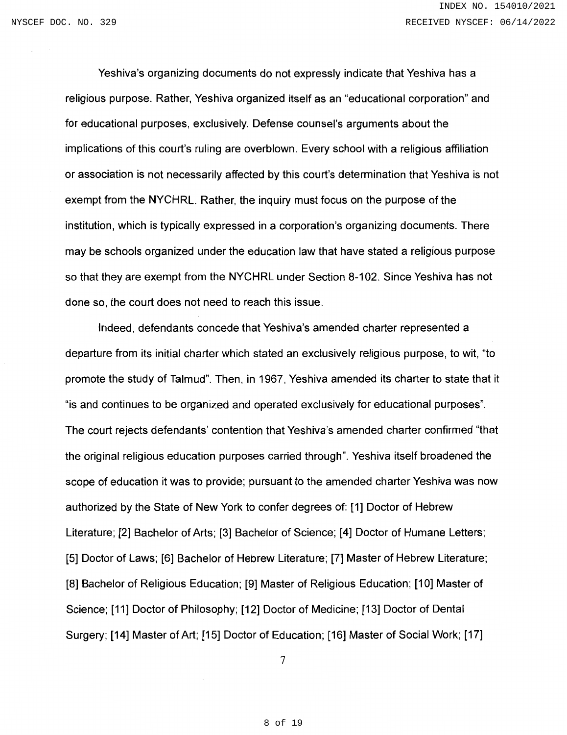Yeshiva's organizing documents do not expressly indicate that Yeshiva has a religious purpose. Rather, Yeshiva organized itself as an "educational corporation" and for educational purposes, exclusively. Defense counsel's arguments about the implications of this court's ruling are overblown. Every school with a religious affiliation or association is not necessarily affected by this court's determination that Yeshiya is not exempt from the NYCHRL. Rather, the inquiry must focus on the purpose of the institution, which is typically expressed in a corporation's organizing documents. There may be schools organized under the education law that have stated a religious purpose so that they are exempt from the NYCHRL under Section 8-102. Since Yeshiva has not done so, the court does not need to reach this issue.

Indeed, defendants concede that Yeshiva's amended charter represented a departure from its initial charter which stated an exclusively religious purpose, to wit, "to promote the study of Talmud". Then, in 1967, Yeshiva amended its charter to state that it "is and continues to be organized and operated exclusively for educational purposes". The court rejects defendants' contention that Yeshiva's amended charter confirmed "that the original religious education purposes carried through". Yeshiva itself broadened the scope of education it was to provide; pursuant to the amended charter Yeshiva was now authorized by the State of New York to confer degrees of: [1] Doctor of Hebrew Literature; [2] Bachelor of Arts; [3] Bachelor of Science; [4] Doctor of Humane Letters; [5] Doctor of Laws; [6] Bachelor of Hebrew Literature; [7] Master of Hebrew Literature; [8] Bachelor of Religious Education; [9] Master of Religious Education; [10] Master of Science; [11] Doctor of Philosophy; [12] Doctor of Medicine; [13] Doctor of Dental Surgery; [14] Master of Art; [15] Doctor of Education; [16] Master of Social Work; [17]

 $\tau$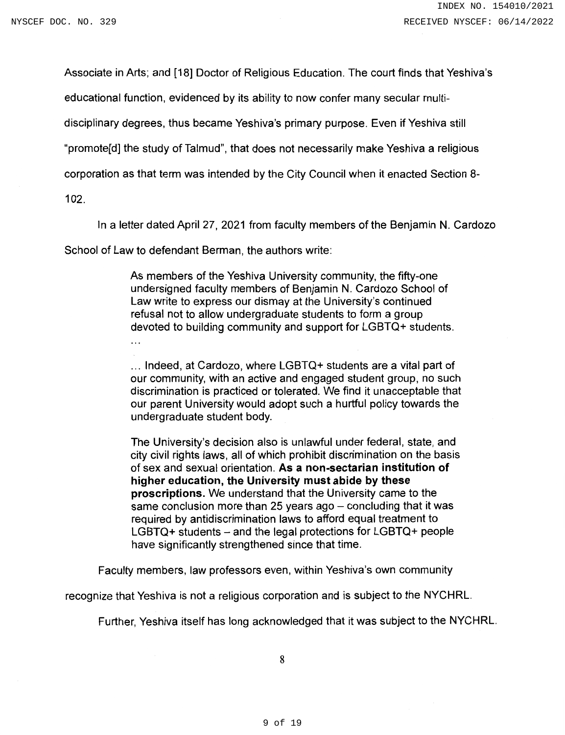Associate in Arts; and [18] Doctor of Religious Education. The court finds that Yeshiva's

educational function, evidenced by its ability to now confer many secular multi-

disciplinary degrees, thus became Yeshiva's primary purpose. Even if Yeshiva still

"promote[d] the study of Talmud", that does not necessarily make Yeshiva a religious

corporation as that term was intended by the City Council when it enacted Section 8-

 $102.$ 

In a letter dated April 27, 2021 from faculty members of the Benjamin N. Cardozo

School of Law to defendant Berman, the authors write:

As members of the Yeshiva University community, the fifty-one undersigned faculty members of Benjamin N. Cardozo School of Law write to express our dismay at the University's continued refusal not to allow undergraduate students to form a group devoted to building community and support for LGBTQ+ students.

... Indeed, at Cardozo, where LGBTQ+ students are a vital part of our community, with an active and engaged student group, no such discrimination is practiced or tolerated. We find it unacceptable that our parent University would adopt such a hurtful policy towards the undergraduate student body.

The University's decision also is unlawful under federal, state, and city civil rights laws, all of which prohibit discrimination on the basis of sex and sexual orientation. As a non-sectarian institution of higher education, the University must abide by these proscriptions. We understand that the University came to the same conclusion more than 25 years ago - concluding that it was required by antidiscrimination laws to afford equal treatment to  $LGBTQ+$  students – and the legal protections for  $LGBTQ+$  people have significantly strengthened since that time.

Faculty members, law professors even, within Yeshiva's own community

recognize that Yeshiva is not a religious corporation and is subject to the NYCHRL.

Further, Yeshiva itself has long acknowledged that it was subject to the NYCHRL.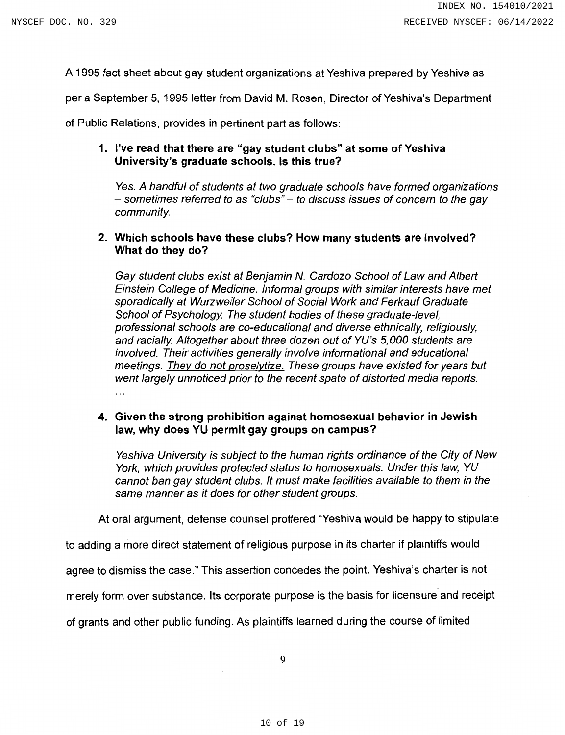A 1995 fact sheet about gay student organizations at Yeshiva prepared by Yeshiva as

per a September 5, 1995 letter from David M. Rosen. Director of Yeshiva's Department

of Public Relations, provides in pertinent part as follows:

## 1. I've read that there are "gay student clubs" at some of Yeshiva University's graduate schools. Is this true?

Yes. A handful of students at two graduate schools have formed organizations - sometimes referred to as "clubs" - to discuss issues of concern to the gay community.

## 2. Which schools have these clubs? How many students are involved? What do they do?

Gay student clubs exist at Benjamin N. Cardozo School of Law and Albert Einstein College of Medicine. Informal groups with similar interests have met sporadically at Wurzweiler School of Social Work and Ferkauf Graduate School of Psychology. The student bodies of these graduate-level, professional schools are co-educational and diverse ethnically, religiously, and racially. Altogether about three dozen out of YU's 5,000 students are involved. Their activities generally involve informational and educational meetings. They do not proselytize. These groups have existed for years but went largely unnoticed prior to the recent spate of distorted media reports.  $\ddotsc$ 

## 4. Given the strong prohibition against homosexual behavior in Jewish law, why does YU permit gay groups on campus?

Yeshiva University is subject to the human rights ordinance of the City of New York, which provides protected status to homosexuals. Under this law, YU cannot ban gay student clubs. It must make facilities available to them in the same manner as it does for other student groups.

At oral argument, defense counsel proffered "Yeshiva would be happy to stipulate

to adding a more direct statement of religious purpose in its charter if plaintiffs would

agree to dismiss the case." This assertion concedes the point. Yeshiva's charter is not

merely form over substance. Its corporate purpose is the basis for licensure and receipt

of grants and other public funding. As plaintiffs learned during the course of limited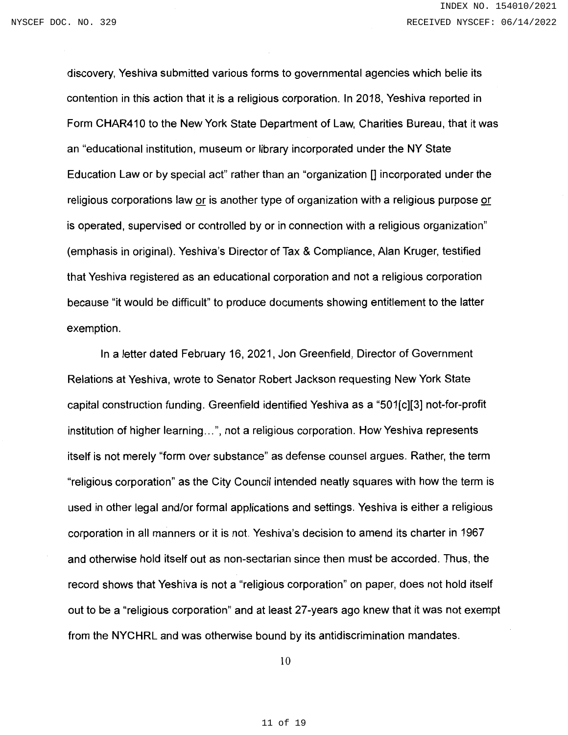discovery. Yeshiva submitted various forms to governmental agencies which belie its contention in this action that it is a religious corporation. In 2018, Yeshiva reported in Form CHAR410 to the New York State Department of Law, Charities Bureau, that it was an "educational institution, museum or library incorporated under the NY State Education Law or by special act" rather than an "organization [] incorporated under the religious corporations law or is another type of organization with a religious purpose or is operated, supervised or controlled by or in connection with a religious organization" (emphasis in original). Yeshiva's Director of Tax & Compliance, Alan Kruger, testified that Yeshiva registered as an educational corporation and not a religious corporation because "it would be difficult" to produce documents showing entitlement to the latter exemption.

In a letter dated February 16, 2021, Jon Greenfield, Director of Government Relations at Yeshiva, wrote to Senator Robert Jackson requesting New York State capital construction funding. Greenfield identified Yeshiva as a "501[c][3] not-for-profit institution of higher learning...", not a religious corporation. How Yeshiva represents itself is not merely "form over substance" as defense counsel argues. Rather, the term "religious corporation" as the City Council intended neatly squares with how the term is used in other legal and/or formal applications and settings. Yeshiva is either a religious corporation in all manners or it is not. Yeshiva's decision to amend its charter in 1967 and otherwise hold itself out as non-sectarian since then must be accorded. Thus, the record shows that Yeshiva is not a "religious corporation" on paper, does not hold itself out to be a "religious corporation" and at least 27-years ago knew that it was not exempt from the NYCHRL and was otherwise bound by its antidiscrimination mandates.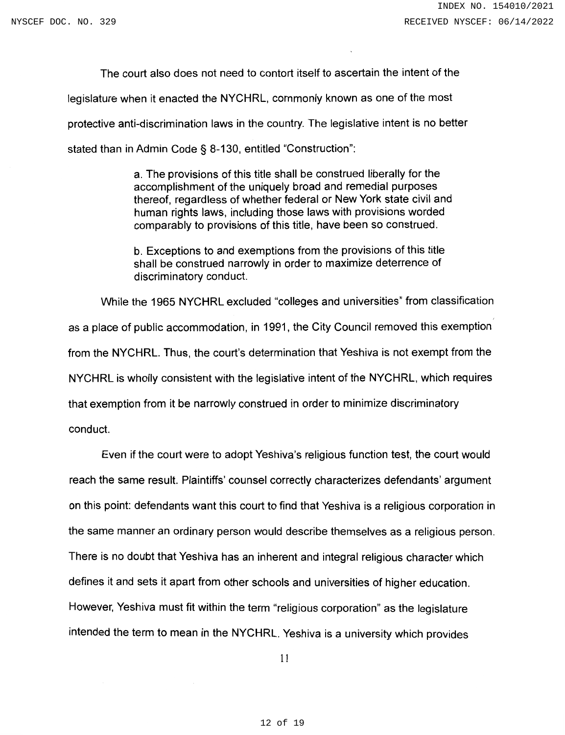The court also does not need to contort itself to ascertain the intent of the legislature when it enacted the NYCHRL, commonly known as one of the most protective anti-discrimination laws in the country. The legislative intent is no better stated than in Admin Code § 8-130, entitled "Construction":

> a. The provisions of this title shall be construed liberally for the accomplishment of the uniquely broad and remedial purposes thereof, regardless of whether federal or New York state civil and human rights laws, including those laws with provisions worded comparably to provisions of this title, have been so construed.

b. Exceptions to and exemptions from the provisions of this title shall be construed narrowly in order to maximize deterrence of discriminatory conduct.

While the 1965 NYCHRL excluded "colleges and universities" from classification

as a place of public accommodation, in 1991, the City Council removed this exemption from the NYCHRL. Thus, the court's determination that Yeshiva is not exempt from the NYCHRL is wholly consistent with the legislative intent of the NYCHRL, which requires that exemption from it be narrowly construed in order to minimize discriminatory conduct.

Even if the court were to adopt Yeshiva's religious function test, the court would reach the same result. Plaintiffs' counsel correctly characterizes defendants' argument on this point: defendants want this court to find that Yeshiva is a religious corporation in the same manner an ordinary person would describe themselves as a religious person. There is no doubt that Yeshiva has an inherent and integral religious character which defines it and sets it apart from other schools and universities of higher education. However, Yeshiva must fit within the term "religious corporation" as the legislature intended the term to mean in the NYCHRL. Yeshiva is a university which provides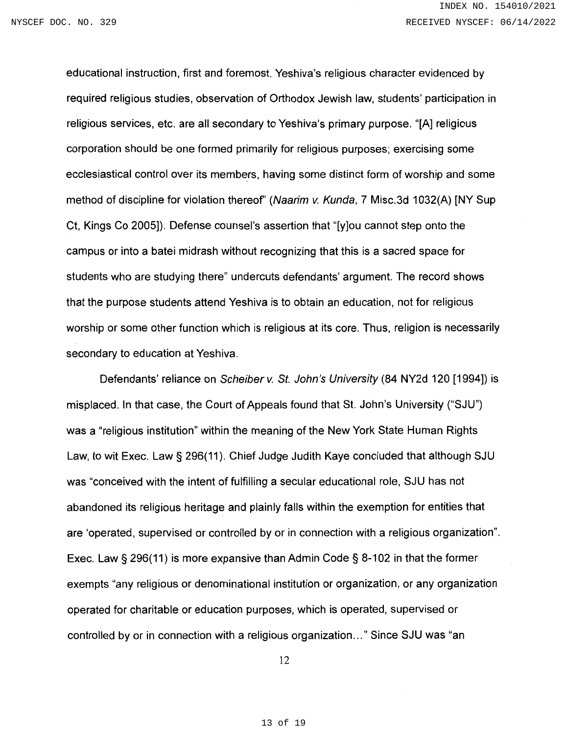educational instruction, first and foremost. Yeshiva's religious character evidenced by required religious studies, observation of Orthodox Jewish law, students' participation in religious services, etc. are all secondary to Yeshiva's primary purpose. "[A] religious corporation should be one formed primarily for religious purposes; exercising some ecclesiastical control over its members, having some distinct form of worship and some method of discipline for violation thereof" (Naarim v. Kunda, 7 Misc.3d 1032(A) [NY Sup Ct, Kings Co 2005]). Defense counsel's assertion that "[y]ou cannot step onto the campus or into a batel midrash without recognizing that this is a sacred space for students who are studying there" undercuts defendants' argument. The record shows that the purpose students attend Yeshiva is to obtain an education, not for religious worship or some other function which is religious at its core. Thus, religion is necessarily secondary to education at Yeshiva.

Defendants' reliance on Scheiber v. St. John's University (84 NY2d 120 [1994]) is misplaced. In that case, the Court of Appeals found that St. John's University ("SJU") was a "religious institution" within the meaning of the New York State Human Rights Law, to wit Exec. Law § 296(11). Chief Judge Judith Kaye concluded that although SJU was "conceived with the intent of fulfilling a secular educational role, SJU has not abandoned its religious heritage and plainly falls within the exemption for entities that are 'operated, supervised or controlled by or in connection with a religious organization". Exec. Law  $\S$  296(11) is more expansive than Admin Code  $\S$  8-102 in that the former exempts "any religious or denominational institution or organization, or any organization operated for charitable or education purposes, which is operated, supervised or controlled by or in connection with a religious organization..." Since SJU was "an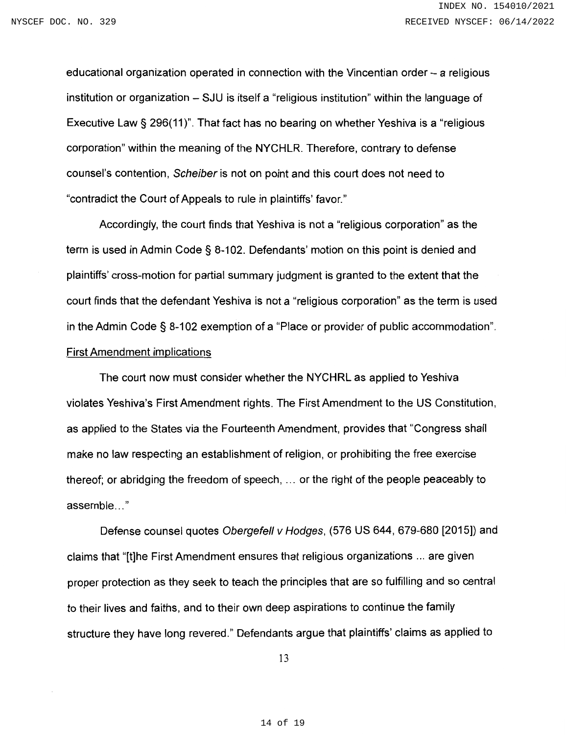educational organization operated in connection with the Vincentian order – a religious institution or organization – SJU is itself a "religious institution" within the language of Executive Law § 296(11)". That fact has no bearing on whether Yeshiva is a "religious corporation" within the meaning of the NYCHLR. Therefore, contrary to defense counsel's contention, Scheiber is not on point and this court does not need to "contradict the Court of Appeals to rule in plaintiffs' favor."

Accordingly, the court finds that Yeshiva is not a "religious corporation" as the term is used in Admin Code § 8-102. Defendants' motion on this point is denied and plaintiffs' cross-motion for partial summary judgment is granted to the extent that the court finds that the defendant Yeshiva is not a "religious corporation" as the term is used in the Admin Code § 8-102 exemption of a "Place or provider of public accommodation". **First Amendment implications** 

The court now must consider whether the NYCHRL as applied to Yeshiva violates Yeshiva's First Amendment rights. The First Amendment to the US Constitution, as applied to the States via the Fourteenth Amendment, provides that "Congress shall make no law respecting an establishment of religion, or prohibiting the free exercise thereof; or abridging the freedom of speech, ... or the right of the people peaceably to assemble..."

Defense counsel quotes Obergefell v Hodges, (576 US 644, 679-680 [2015]) and claims that "[t]he First Amendment ensures that religious organizations ... are given proper protection as they seek to teach the principles that are so fulfilling and so central to their lives and faiths, and to their own deep aspirations to continue the family structure they have long revered." Defendants argue that plaintiffs' claims as applied to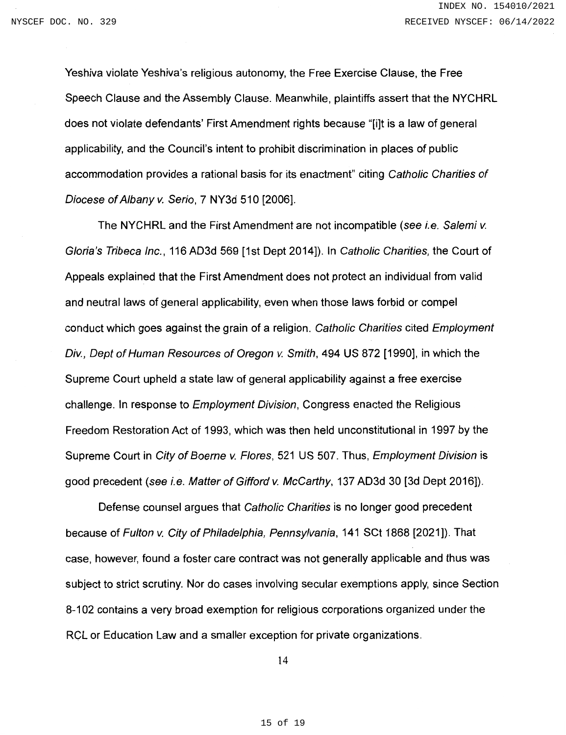Yeshiva violate Yeshiva's religious autonomy, the Free Exercise Clause, the Free Speech Clause and the Assembly Clause. Meanwhile, plaintiffs assert that the NYCHRL does not violate defendants' First Amendment rights because "[i]t is a law of general applicability, and the Council's intent to prohibit discrimination in places of public accommodation provides a rational basis for its enactment" citing Catholic Charities of Diocese of Albany v. Serio, 7 NY3d 510 [2006].

The NYCHRL and the First Amendment are not incompatible (see i.e. Salemi v. Gloria's Tribeca Inc., 116 AD3d 569 [1st Dept 2014]). In Catholic Charities, the Court of Appeals explained that the First Amendment does not protect an individual from valid and neutral laws of general applicability, even when those laws forbid or compel conduct which goes against the grain of a religion. Catholic Charities cited Employment Div., Dept of Human Resources of Oregon v. Smith, 494 US 872 [1990], in which the Supreme Court upheld a state law of general applicability against a free exercise challenge. In response to *Employment Division*, Congress enacted the Religious Freedom Restoration Act of 1993, which was then held unconstitutional in 1997 by the Supreme Court in City of Boerne v. Flores, 521 US 507. Thus, Employment Division is good precedent (see i.e. Matter of Gifford v. McCarthy, 137 AD3d 30 [3d Dept 2016]).

Defense counsel argues that Catholic Charities is no longer good precedent because of Fulton v. City of Philadelphia, Pennsylvania, 141 SCt 1868 [2021]). That case, however, found a foster care contract was not generally applicable and thus was subject to strict scrutiny. Nor do cases involving secular exemptions apply, since Section 8-102 contains a very broad exemption for religious corporations organized under the RCL or Education Law and a smaller exception for private organizations.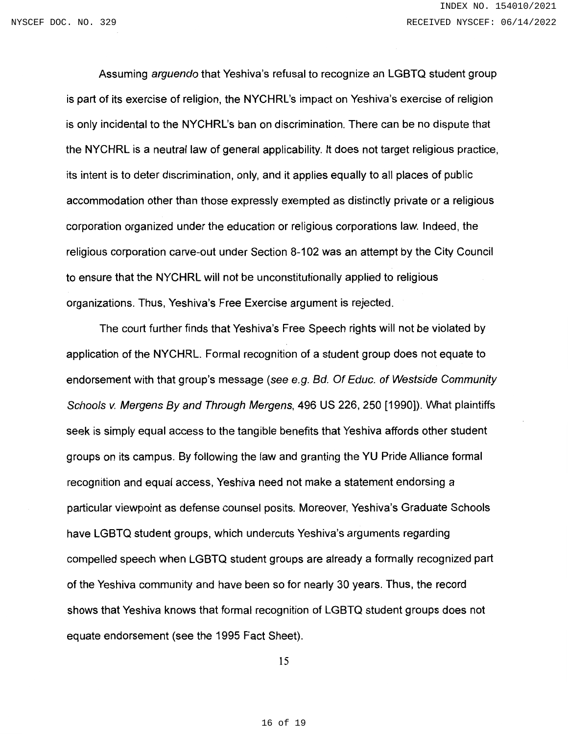Assuming arguendo that Yeshiva's refusal to recognize an LGBTQ student group is part of its exercise of religion, the NYCHRL's impact on Yeshiva's exercise of religion is only incidental to the NYCHRL's ban on discrimination. There can be no dispute that the NYCHRL is a neutral law of general applicability. It does not target religious practice, its intent is to deter discrimination, only, and it applies equally to all places of public accommodation other than those expressly exempted as distinctly private or a religious corporation organized under the education or religious corporations law. Indeed, the religious corporation carve-out under Section 8-102 was an attempt by the City Council to ensure that the NYCHRL will not be unconstitutionally applied to religious organizations. Thus, Yeshiva's Free Exercise argument is rejected.

The court further finds that Yeshiva's Free Speech rights will not be violated by application of the NYCHRL. Formal recognition of a student group does not equate to endorsement with that group's message (see e.g. Bd. Of Educ. of Westside Community Schools v. Mergens By and Through Mergens, 496 US 226, 250 [1990]). What plaintiffs seek is simply equal access to the tangible benefits that Yeshiva affords other student groups on its campus. By following the law and granting the YU Pride Alliance formal recognition and equal access. Yeshiva need not make a statement endorsing a particular viewpoint as defense counsel posits. Moreover, Yeshiva's Graduate Schools have LGBTQ student groups, which undercuts Yeshiva's arguments regarding compelled speech when LGBTQ student groups are already a formally recognized part of the Yeshiva community and have been so for nearly 30 years. Thus, the record shows that Yeshiva knows that formal recognition of LGBTQ student groups does not equate endorsement (see the 1995 Fact Sheet).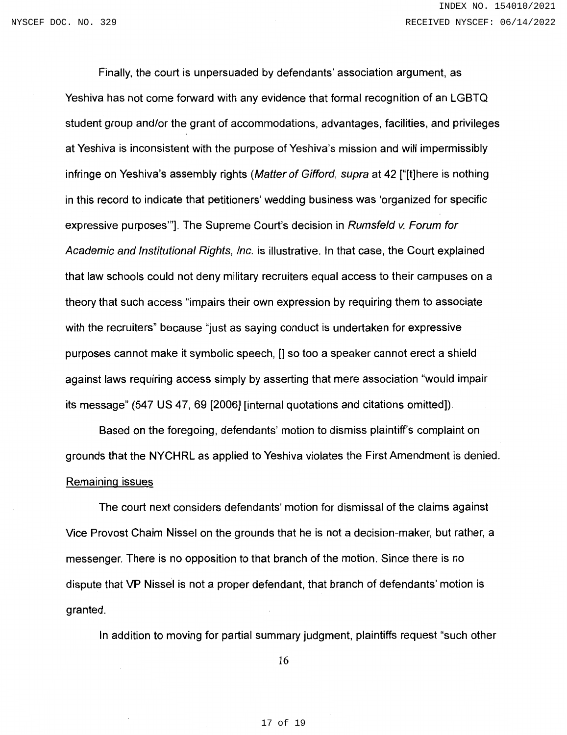Finally, the court is unpersuaded by defendants' association argument, as Yeshiva has not come forward with any evidence that formal recognition of an LGBTQ student group and/or the grant of accommodations, advantages, facilities, and privileges at Yeshiva is inconsistent with the purpose of Yeshiva's mission and will impermissibly infringe on Yeshiva's assembly rights (Matter of Gifford, supra at 42 ["[t]here is nothing in this record to indicate that petitioners' wedding business was 'organized for specific expressive purposes"]. The Supreme Court's decision in Rumsfeld v. Forum for Academic and Institutional Rights, Inc. is illustrative. In that case, the Court explained that law schools could not deny military recruiters equal access to their campuses on a theory that such access "impairs their own expression by requiring them to associate with the recruiters" because "just as saying conduct is undertaken for expressive purposes cannot make it symbolic speech, [] so too a speaker cannot erect a shield against laws requiring access simply by asserting that mere association "would impair its message" (547 US 47, 69 [2006] [internal quotations and citations omitted]).

Based on the foregoing, defendants' motion to dismiss plaintiff's complaint on grounds that the NYCHRL as applied to Yeshiva violates the First Amendment is denied. Remaining issues

The court next considers defendants' motion for dismissal of the claims against Vice Provost Chaim Nissel on the grounds that he is not a decision-maker, but rather, a messenger. There is no opposition to that branch of the motion. Since there is no dispute that VP Nissel is not a proper defendant, that branch of defendants' motion is granted.

In addition to moving for partial summary judgment, plaintiffs request "such other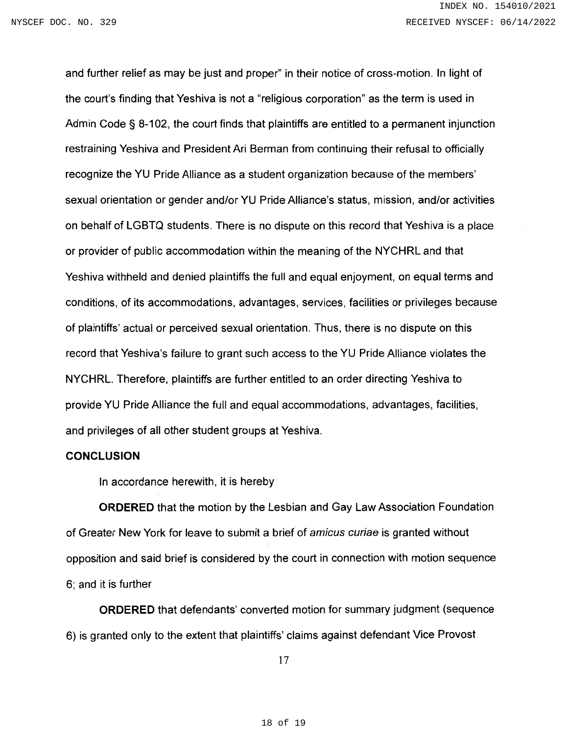and further relief as may be just and proper" in their notice of cross-motion. In light of the court's finding that Yeshiva is not a "religious corporation" as the term is used in Admin Code § 8-102, the court finds that plaintiffs are entitled to a permanent injunction restraining Yeshiva and President Ari Berman from continuing their refusal to officially recognize the YU Pride Alliance as a student organization because of the members' sexual orientation or gender and/or YU Pride Alliance's status, mission, and/or activities on behalf of LGBTQ students. There is no dispute on this record that Yeshiva is a place or provider of public accommodation within the meaning of the NYCHRL and that Yeshiva withheld and denied plaintiffs the full and equal enjoyment, on equal terms and conditions, of its accommodations, advantages, services, facilities or privileges because of plaintiffs' actual or perceived sexual orientation. Thus, there is no dispute on this record that Yeshiva's failure to grant such access to the YU Pride Alliance violates the NYCHRL. Therefore, plaintiffs are further entitled to an order directing Yeshiva to provide YU Pride Alliance the full and equal accommodations, advantages, facilities, and privileges of all other student groups at Yeshiva.

#### **CONCLUSION**

In accordance herewith, it is hereby

**ORDERED** that the motion by the Lesbian and Gay Law Association Foundation of Greater New York for leave to submit a brief of amicus curiae is granted without opposition and said brief is considered by the court in connection with motion sequence 6; and it is further

**ORDERED** that defendants' converted motion for summary judgment (sequence 6) is granted only to the extent that plaintiffs' claims against defendant Vice Provost